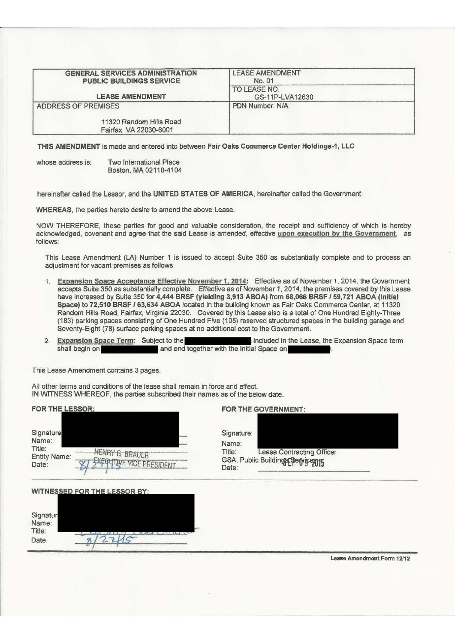| <b>GENERAL SERVICES ADMINISTRATION</b><br>PUBLIC BUILDINGS SERVICE | <b>LEASE AMENDMENT</b><br>No. 01 |  |
|--------------------------------------------------------------------|----------------------------------|--|
| <b>LEASE AMENDMENT</b>                                             | TO LEASE NO.<br>GS-11P-LVA12630  |  |
| ADDRESS OF PREMISES                                                | PDN Number: N/A                  |  |
| 11320 Random Hills Road<br>Fairfax, VA 22030-6001                  |                                  |  |

THIS AMENDMENT is made and entered into between Fair Oaks Commerce Center Holdings-1, LLC

whose address is: Two International Place Boston, MA02110-4104

hereinafter called the Lessor, and the UNITED STATES OF AMERICA, hereinafter called the Government:

WHEREAS, the parties hereto desire to amend the above Lease.

NOW THEREFORE, these parties for good and valuable consideration, the receipt and sufficiency of which is hereby acknowledged, covenant and agree that the said Lease is amended, effective upon execution by the Government, as follows:

This Lease Amendment (LA) Number 1 is issued to accept Suite 350 as substantially complete and to process an adjustment for vacant premises as follows

- 1. Expansion Space Acceptance Effective November 1, 2014: Effective as of November 1, 2014, the Government accepts Suite 350 as substantially complete. Effective as of November 1, 2014, the premises covered by this lease have increased by Suite 350 for 4,444 BRSF (yielding 3,913 ABOA) from 68,066 BRSF / 59,721 ABOA (Initial Space) to 72,510 BRSF / 63,634 ABOA located in the building known as Fair Oaks Commerce Center, at 11320 Random Hills Road, Fairfax, Virginia 22030. Covered by this Lease also is a total of One Hundred Eighty-Three (183) parking spaces consisting of One Hundred Five (105) reserved structured spaces in the building garage and Seventy-Eight (78) surface parking spaces at no additional cost to the Government.
- 2. **Expansion Space Term:** Subject to the **included in the Lease**, the Expansion Space term shall begin on **the included in the late on** and end together with the Initial Space on

This Lease Amendment contains 3 pages.

 $8/27/5$ 

Title: Date:

All other terms and conditions of the lease shall remain in force and effect. IN WITNESS WHEREOF, the parties subscribed their names as of the below date.

| FOR THE LESSOR:                                                                                                                   | FOR THE GOVERNMENT:                                                                                             |  |
|-----------------------------------------------------------------------------------------------------------------------------------|-----------------------------------------------------------------------------------------------------------------|--|
| Signature<br>Name:<br>Title:<br><b>HENRY G. BRAUER</b><br><b>Entity Name:</b><br><b><i>SXEQUITIVE VICE PRESIDENT</i></b><br>Date: | Signature:<br>Name:<br><b>Lease Contracting Officer</b><br>Title:<br>GSA, Public Buildings Service 015<br>Date: |  |
| WITNESSED FOR THE LESSOR BY:<br>Signatur<br>Name:                                                                                 |                                                                                                                 |  |

Lease Amendment Fonn 12112